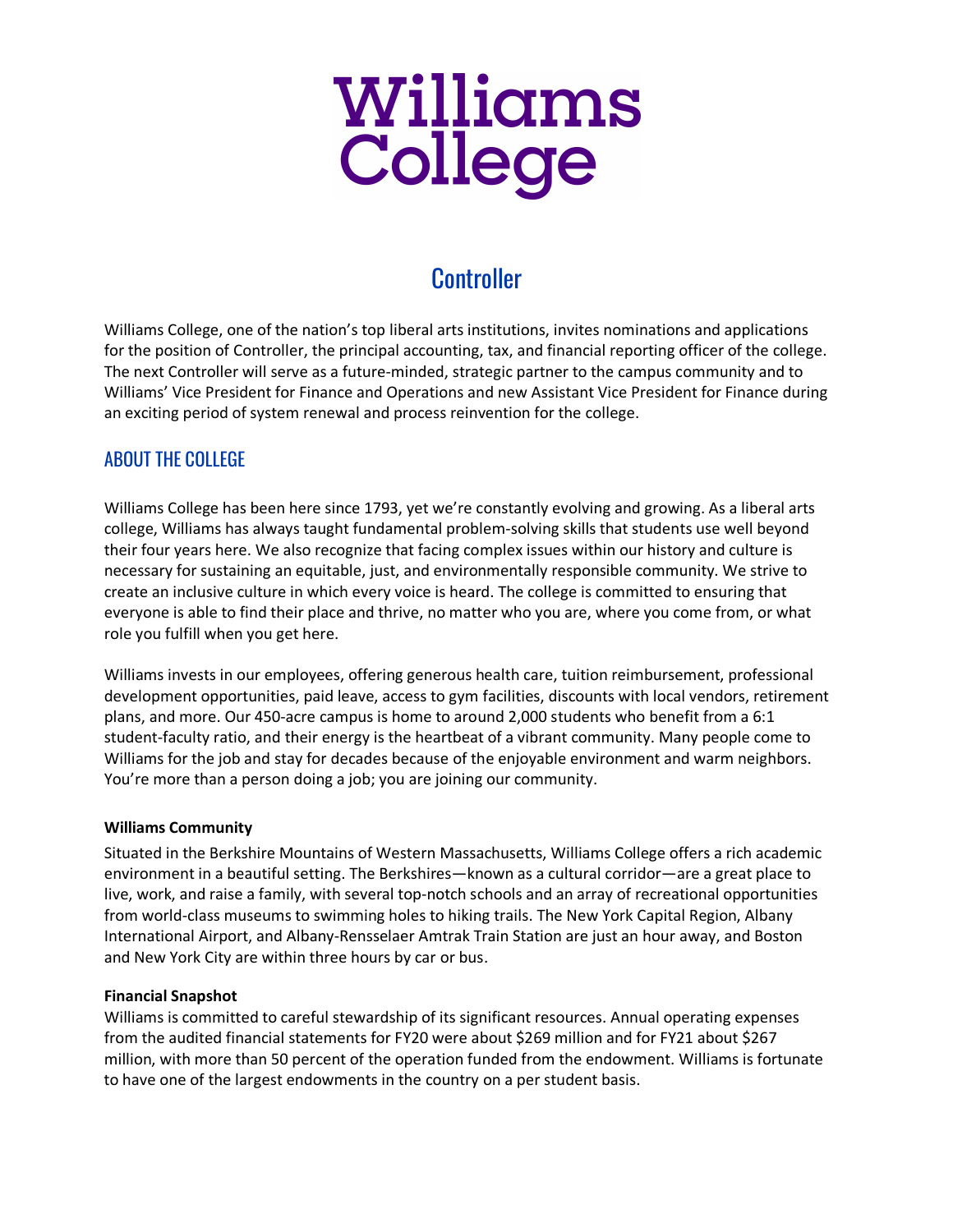

# **Controller**

Williams College, one of the nation's top liberal arts institutions, invites nominations and applications for the position of Controller, the principal accounting, tax, and financial reporting officer of the college. The next Controller will serve as a future-minded, strategic partner to the campus community and to Williams' Vice President for Finance and Operations and new Assistant Vice President for Finance during an exciting period of system renewal and process reinvention for the college.

## ABOUT THE COLLEGE

Williams College has been here since 1793, yet we're constantly evolving and growing. As a liberal arts college, Williams has always taught fundamental problem-solving skills that students use well beyond their four years here. We also recognize that facing complex issues within our history and culture is necessary for sustaining an equitable, just, and environmentally responsible community. We strive to create an inclusive culture in which every voice is heard. The college is committed to ensuring that everyone is able to find their place and thrive, no matter who you are, where you come from, or what role you fulfill when you get here.

Williams invests in our employees, offering generous health care, tuition reimbursement, professional development opportunities, paid leave, access to gym facilities, discounts with local vendors, retirement plans, and more. Our 450-acre campus is home to around 2,000 students who benefit from a 6:1 student-faculty ratio, and their energy is the heartbeat of a vibrant community. Many people come to Williams for the job and stay for decades because of the enjoyable environment and warm neighbors. You're more than a person doing a job; you are joining our community.

## **Williams Community**

Situated in the Berkshire Mountains of Western Massachusetts, Williams College offers a rich academic environment in a beautiful setting. The Berkshires—known as a cultural corridor—are a great place to live, work, and raise a family, with several top-notch schools and an array of recreational opportunities from world-class museums to swimming holes to hiking trails. The New York Capital Region, Albany International Airport, and Albany-Rensselaer Amtrak Train Station are just an hour away, and Boston and New York City are within three hours by car or bus.

## **Financial Snapshot**

Williams is committed to careful stewardship of its significant resources. Annual operating expenses from the audited financial statements for FY20 were about \$269 million and for FY21 about \$267 million, with more than 50 percent of the operation funded from the endowment. Williams is fortunate to have one of the largest endowments in the country on a per student basis.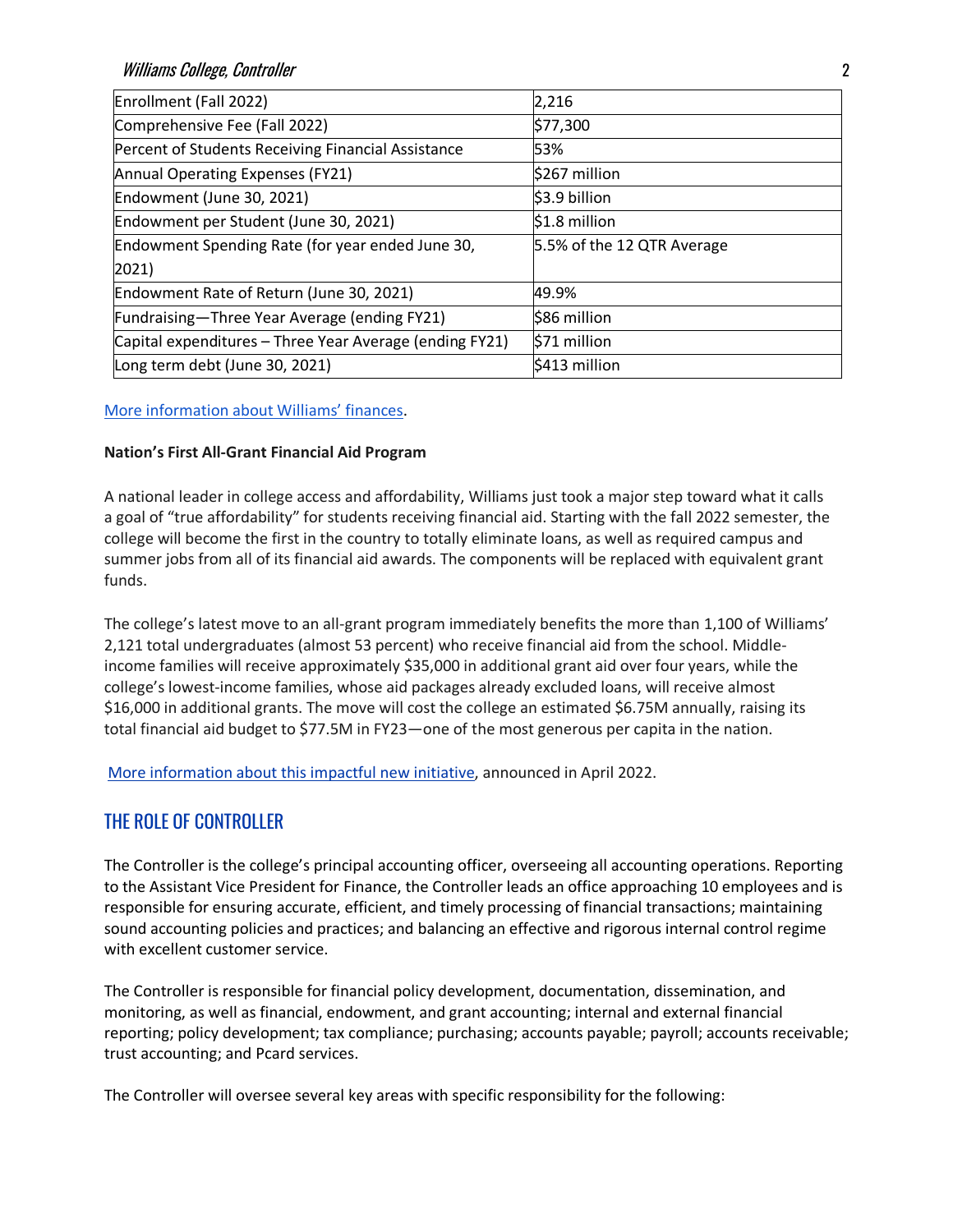| Enrollment (Fall 2022)                                  | 2,216                      |
|---------------------------------------------------------|----------------------------|
| Comprehensive Fee (Fall 2022)                           | \$77,300                   |
| Percent of Students Receiving Financial Assistance      | 53%                        |
| Annual Operating Expenses (FY21)                        | \$267 million              |
| Endowment (June 30, 2021)                               | \$3.9 billion              |
| Endowment per Student (June 30, 2021)                   | $$1.8$ million             |
| Endowment Spending Rate (for year ended June 30,        | 5.5% of the 12 QTR Average |
| $ 2021\rangle$                                          |                            |
| Endowment Rate of Return (June 30, 2021)                | 49.9%                      |
| Fundraising-Three Year Average (ending FY21)            | \$86 million               |
| Capital expenditures - Three Year Average (ending FY21) | \$71 million               |
| Long term debt (June 30, 2021)                          | \$413 million              |

#### [More information about Williams' finances.](https://controller.williams.edu/college-financial-statements/)

#### **Nation's First All-Grant Financial Aid Program**

A national leader in college access and affordability, Williams just took a major step toward what it calls a goal of "true affordability" for students receiving financial aid. Starting with the fall 2022 semester, the college will become the first in the country to totally eliminate loans, as well as required campus and summer jobs from all of its financial aid awards. The components will be replaced with equivalent grant funds.

The college's latest move to an all-grant program immediately benefits the more than 1,100 of Williams' 2,121 total undergraduates (almost 53 percent) who receive financial aid from the school. Middleincome families will receive approximately \$35,000 in additional grant aid over four years, while the college's lowest-income families, whose aid packages already excluded loans, will receive almost \$16,000 in additional grants. The move will cost the college an estimated \$6.75M annually, raising its total financial aid budget to \$77.5M in FY23—one of the most generous per capita in the nation.

[More information about this impactful new initiative,](https://president.williams.edu/writings-and-remarks/exciting-news-williams-announces-nations-first-all-grant-financial-aid-program/) announced in April 2022.

## THE ROLE OF CONTROLLER

The Controller is the college's principal accounting officer, overseeing all accounting operations. Reporting to the Assistant Vice President for Finance, the Controller leads an office approaching 10 employees and is responsible for ensuring accurate, efficient, and timely processing of financial transactions; maintaining sound accounting policies and practices; and balancing an effective and rigorous internal control regime with excellent customer service.

The Controller is responsible for financial policy development, documentation, dissemination, and monitoring, as well as financial, endowment, and grant accounting; internal and external financial reporting; policy development; tax compliance; purchasing; accounts payable; payroll; accounts receivable; trust accounting; and Pcard services.

The Controller will oversee several key areas with specific responsibility for the following: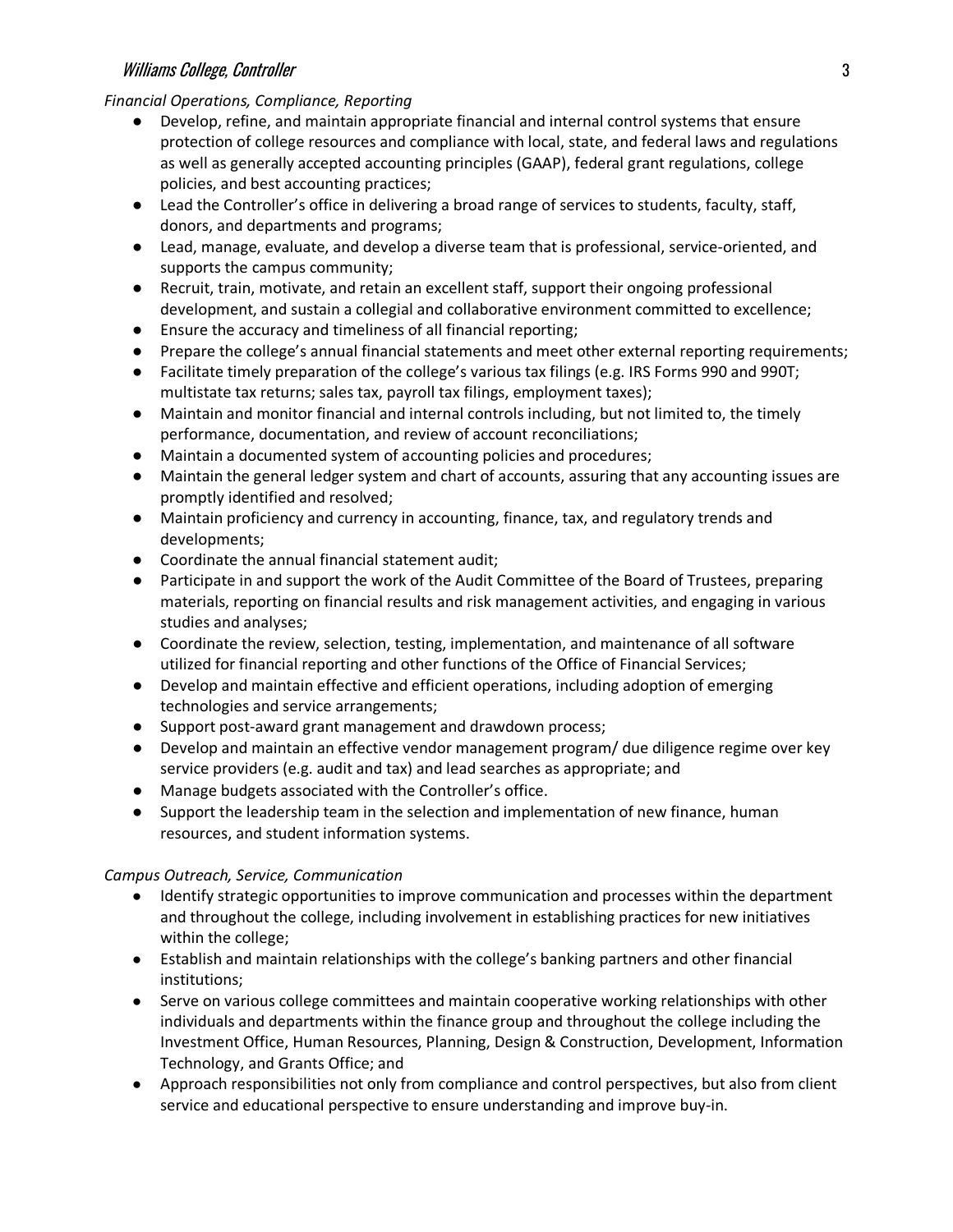## Williams College, Controller 3

#### *Financial Operations, Compliance, Reporting*

- Develop, refine, and maintain appropriate financial and internal control systems that ensure protection of college resources and compliance with local, state, and federal laws and regulations as well as generally accepted accounting principles (GAAP), federal grant regulations, college policies, and best accounting practices;
- Lead the Controller's office in delivering a broad range of services to students, faculty, staff, donors, and departments and programs;
- Lead, manage, evaluate, and develop a diverse team that is professional, service-oriented, and supports the campus community;
- Recruit, train, motivate, and retain an excellent staff, support their ongoing professional development, and sustain a collegial and collaborative environment committed to excellence;
- Ensure the accuracy and timeliness of all financial reporting;
- Prepare the college's annual financial statements and meet other external reporting requirements;
- Facilitate timely preparation of the college's various tax filings (e.g. IRS Forms 990 and 990T; multistate tax returns; sales tax, payroll tax filings, employment taxes);
- Maintain and monitor financial and internal controls including, but not limited to, the timely performance, documentation, and review of account reconciliations;
- Maintain a documented system of accounting policies and procedures;
- Maintain the general ledger system and chart of accounts, assuring that any accounting issues are promptly identified and resolved;
- Maintain proficiency and currency in accounting, finance, tax, and regulatory trends and developments;
- Coordinate the annual financial statement audit;
- Participate in and support the work of the Audit Committee of the Board of Trustees, preparing materials, reporting on financial results and risk management activities, and engaging in various studies and analyses;
- Coordinate the review, selection, testing, implementation, and maintenance of all software utilized for financial reporting and other functions of the Office of Financial Services;
- Develop and maintain effective and efficient operations, including adoption of emerging technologies and service arrangements;
- Support post-award grant management and drawdown process;
- Develop and maintain an effective vendor management program/ due diligence regime over key service providers (e.g. audit and tax) and lead searches as appropriate; and
- Manage budgets associated with the Controller's office.
- Support the leadership team in the selection and implementation of new finance, human resources, and student information systems.

#### *Campus Outreach, Service, Communication*

- Identify strategic opportunities to improve communication and processes within the department and throughout the college, including involvement in establishing practices for new initiatives within the college;
- Establish and maintain relationships with the college's banking partners and other financial institutions;
- Serve on various college committees and maintain cooperative working relationships with other individuals and departments within the finance group and throughout the college including the Investment Office, Human Resources, Planning, Design & Construction, Development, Information Technology, and Grants Office; and
- Approach responsibilities not only from compliance and control perspectives, but also from client service and educational perspective to ensure understanding and improve buy-in.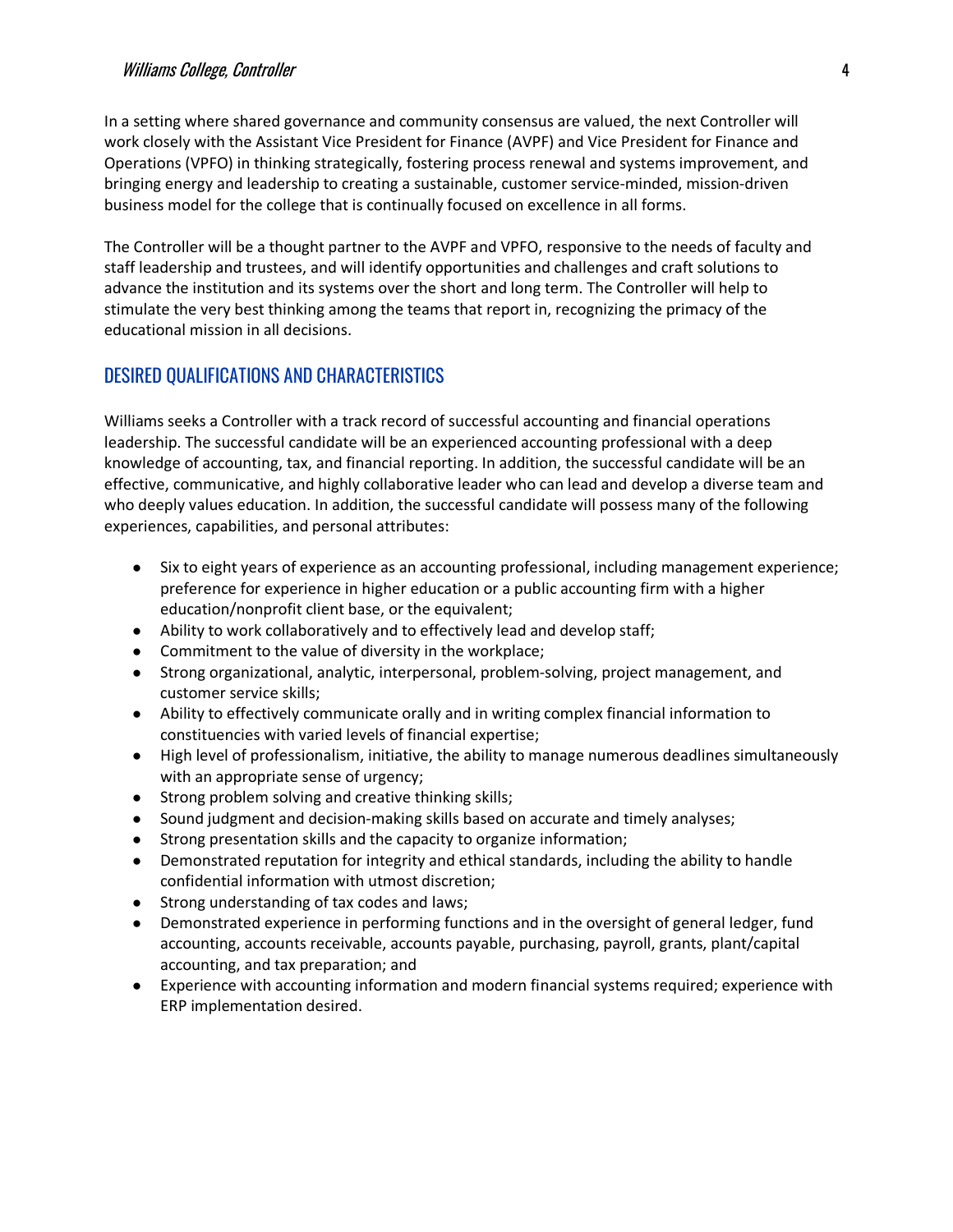#### Williams College, Controller 4

In a setting where shared governance and community consensus are valued, the next Controller will work closely with the Assistant Vice President for Finance (AVPF) and Vice President for Finance and Operations (VPFO) in thinking strategically, fostering process renewal and systems improvement, and bringing energy and leadership to creating a sustainable, customer service-minded, mission-driven business model for the college that is continually focused on excellence in all forms.

The Controller will be a thought partner to the AVPF and VPFO, responsive to the needs of faculty and staff leadership and trustees, and will identify opportunities and challenges and craft solutions to advance the institution and its systems over the short and long term. The Controller will help to stimulate the very best thinking among the teams that report in, recognizing the primacy of the educational mission in all decisions.

## DESIRED QUALIFICATIONS AND CHARACTERISTICS

Williams seeks a Controller with a track record of successful accounting and financial operations leadership. The successful candidate will be an experienced accounting professional with a deep knowledge of accounting, tax, and financial reporting. In addition, the successful candidate will be an effective, communicative, and highly collaborative leader who can lead and develop a diverse team and who deeply values education. In addition, the successful candidate will possess many of the following experiences, capabilities, and personal attributes:

- Six to eight years of experience as an accounting professional, including management experience; preference for experience in higher education or a public accounting firm with a higher education/nonprofit client base, or the equivalent;
- Ability to work collaboratively and to effectively lead and develop staff;
- Commitment to the value of diversity in the workplace;
- Strong organizational, analytic, interpersonal, problem-solving, project management, and customer service skills;
- Ability to effectively communicate orally and in writing complex financial information to constituencies with varied levels of financial expertise;
- High level of professionalism, initiative, the ability to manage numerous deadlines simultaneously with an appropriate sense of urgency;
- Strong problem solving and creative thinking skills;
- Sound judgment and decision-making skills based on accurate and timely analyses;
- Strong presentation skills and the capacity to organize information;
- Demonstrated reputation for integrity and ethical standards, including the ability to handle confidential information with utmost discretion;
- Strong understanding of tax codes and laws;
- Demonstrated experience in performing functions and in the oversight of general ledger, fund accounting, accounts receivable, accounts payable, purchasing, payroll, grants, plant/capital accounting, and tax preparation; and
- Experience with accounting information and modern financial systems required; experience with ERP implementation desired.